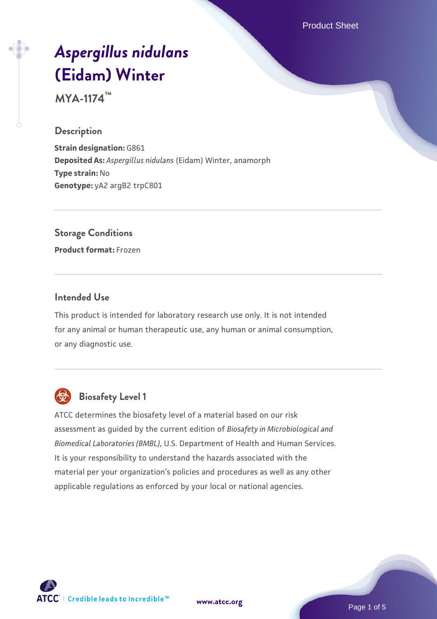Product Sheet

# *[Aspergillus nidulans](https://www.atcc.org/products/mya-1174)* **[\(Eidam\) Winter](https://www.atcc.org/products/mya-1174)**

**MYA-1174™**

#### **Description**

**Strain designation: G861 Deposited As:** *Aspergillus nidulans* (Eidam) Winter, anamorph **Type strain:** No **Genotype:** yA2 argB2 trpC801

**Storage Conditions**

**Product format:** Frozen

#### **Intended Use**

This product is intended for laboratory research use only. It is not intended for any animal or human therapeutic use, any human or animal consumption, or any diagnostic use.



## **Biosafety Level 1**

ATCC determines the biosafety level of a material based on our risk assessment as guided by the current edition of *Biosafety in Microbiological and Biomedical Laboratories (BMBL)*, U.S. Department of Health and Human Services. It is your responsibility to understand the hazards associated with the material per your organization's policies and procedures as well as any other applicable regulations as enforced by your local or national agencies.

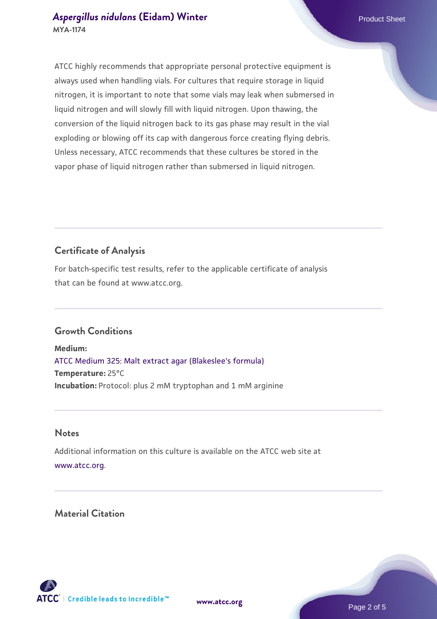#### **[Aspergillus nidulans](https://www.atcc.org/products/mya-1174) [\(Eidam\) Winter](https://www.atcc.org/products/mya-1174) Example 2018** Product Sheet **MYA-1174**

ATCC highly recommends that appropriate personal protective equipment is always used when handling vials. For cultures that require storage in liquid nitrogen, it is important to note that some vials may leak when submersed in liquid nitrogen and will slowly fill with liquid nitrogen. Upon thawing, the conversion of the liquid nitrogen back to its gas phase may result in the vial exploding or blowing off its cap with dangerous force creating flying debris. Unless necessary, ATCC recommends that these cultures be stored in the vapor phase of liquid nitrogen rather than submersed in liquid nitrogen.

### **Certificate of Analysis**

For batch-specific test results, refer to the applicable certificate of analysis that can be found at www.atcc.org.

#### **Growth Conditions**

**Medium:**  [ATCC Medium 325: Malt extract agar \(Blakeslee's formula\)](https://www.atcc.org/-/media/product-assets/documents/microbial-media-formulations/3/2/5/atcc-medium-325.pdf?rev=146ec77015184a96912232dcb12386f9) **Temperature:** 25°C **Incubation:** Protocol: plus 2 mM tryptophan and 1 mM arginine

#### **Notes**

Additional information on this culture is available on the ATCC web site at [www.atcc.org.](http://www.atcc.org/)

#### **Material Citation**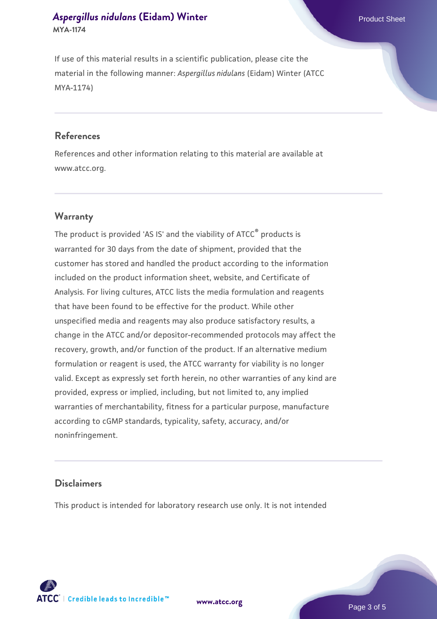#### **[Aspergillus nidulans](https://www.atcc.org/products/mya-1174) [\(Eidam\) Winter](https://www.atcc.org/products/mya-1174) Example 2018** Product Sheet **MYA-1174**

If use of this material results in a scientific publication, please cite the material in the following manner: *Aspergillus nidulans* (Eidam) Winter (ATCC MYA-1174)

#### **References**

References and other information relating to this material are available at www.atcc.org.

#### **Warranty**

The product is provided 'AS IS' and the viability of ATCC® products is warranted for 30 days from the date of shipment, provided that the customer has stored and handled the product according to the information included on the product information sheet, website, and Certificate of Analysis. For living cultures, ATCC lists the media formulation and reagents that have been found to be effective for the product. While other unspecified media and reagents may also produce satisfactory results, a change in the ATCC and/or depositor-recommended protocols may affect the recovery, growth, and/or function of the product. If an alternative medium formulation or reagent is used, the ATCC warranty for viability is no longer valid. Except as expressly set forth herein, no other warranties of any kind are provided, express or implied, including, but not limited to, any implied warranties of merchantability, fitness for a particular purpose, manufacture according to cGMP standards, typicality, safety, accuracy, and/or noninfringement.

#### **Disclaimers**

This product is intended for laboratory research use only. It is not intended

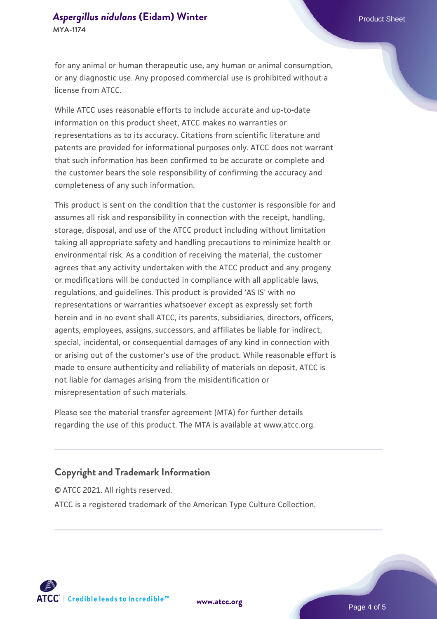#### **[Aspergillus nidulans](https://www.atcc.org/products/mya-1174) [\(Eidam\) Winter](https://www.atcc.org/products/mya-1174) Example 2018** Product Sheet **MYA-1174**

for any animal or human therapeutic use, any human or animal consumption, or any diagnostic use. Any proposed commercial use is prohibited without a license from ATCC.

While ATCC uses reasonable efforts to include accurate and up-to-date information on this product sheet, ATCC makes no warranties or representations as to its accuracy. Citations from scientific literature and patents are provided for informational purposes only. ATCC does not warrant that such information has been confirmed to be accurate or complete and the customer bears the sole responsibility of confirming the accuracy and completeness of any such information.

This product is sent on the condition that the customer is responsible for and assumes all risk and responsibility in connection with the receipt, handling, storage, disposal, and use of the ATCC product including without limitation taking all appropriate safety and handling precautions to minimize health or environmental risk. As a condition of receiving the material, the customer agrees that any activity undertaken with the ATCC product and any progeny or modifications will be conducted in compliance with all applicable laws, regulations, and guidelines. This product is provided 'AS IS' with no representations or warranties whatsoever except as expressly set forth herein and in no event shall ATCC, its parents, subsidiaries, directors, officers, agents, employees, assigns, successors, and affiliates be liable for indirect, special, incidental, or consequential damages of any kind in connection with or arising out of the customer's use of the product. While reasonable effort is made to ensure authenticity and reliability of materials on deposit, ATCC is not liable for damages arising from the misidentification or misrepresentation of such materials.

Please see the material transfer agreement (MTA) for further details regarding the use of this product. The MTA is available at www.atcc.org.

#### **Copyright and Trademark Information**

© ATCC 2021. All rights reserved. ATCC is a registered trademark of the American Type Culture Collection.



**[www.atcc.org](http://www.atcc.org)**

Page 4 of 5